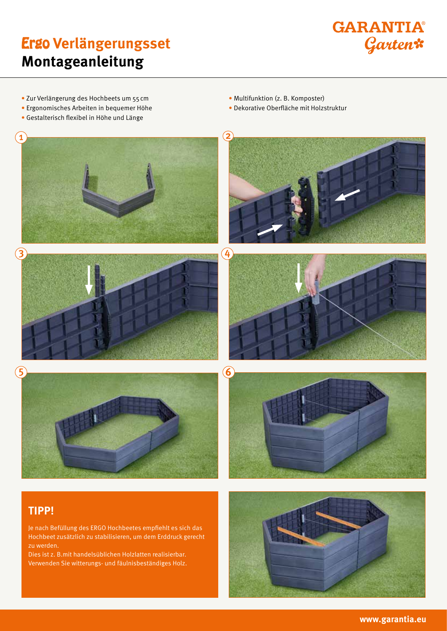# Ergo **Verlängerungsset Montageanleitung**



- Zur Verlängerung des Hochbeets um 55cm
- Ergonomisches Arbeiten in bequemer Höhe
- Gestalterisch flexibel in Höhe und Länge
- Multifunktion (z. B. Komposter)
- Dekorative Oberfläche mit Holzstruktur



Hochbeet zusätzlich zu stabilisieren, um dem Erddruck gerecht zu werden.

Dies ist z. B.mit handelsüblichen Holzlatten realisierbar. Verwenden Sie witterungs- und fäulnisbeständiges Holz.

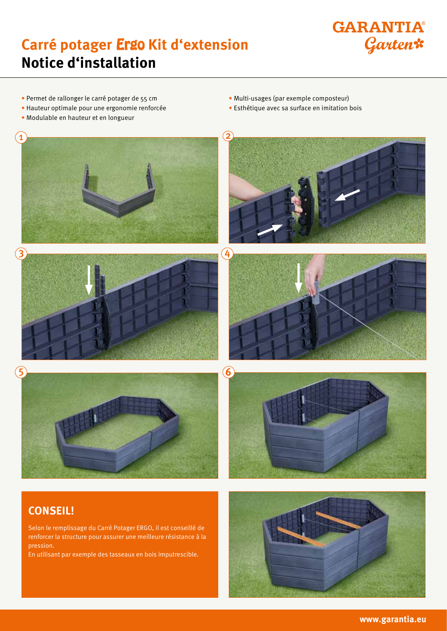### **Carré potager** Ergo **Kit d'extension Notice d'installation**



- Permet de rallonger le carré potager de 55 cm
- Hauteur optimale pour une ergonomie renforcée
- Modulable en hauteur et en longueur
- Multi-usages (par exemple composteur)
- Esthétique avec sa surface en imitation bois



#### **CONSEIL!**

Selon le remplissage du Carré Potager ERGO, il est conseillé de renforcer la structure pour assurer une meilleure résistance à la pression.

En utilisant par exemple des tasseaux en bois imputrescible.

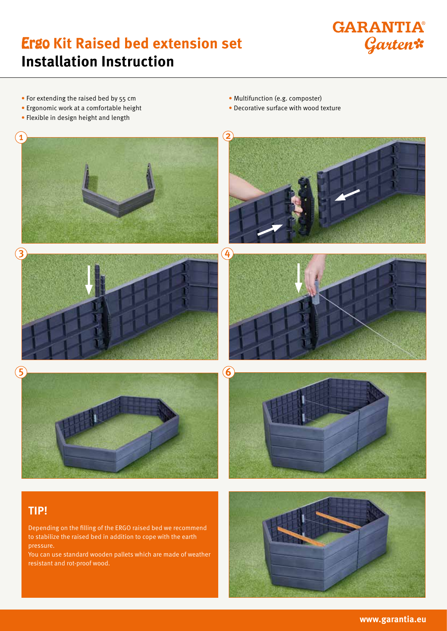## Ergo **Kit Raised bed extension set Installation Instruction**



- For extending the raised bed by 55 cm
- Ergonomic work at a comfortable height
- Flexible in design height and length
- Multifunction (e.g. composter)
- Decorative surface with wood texture



You can use standard wooden pallets which are made of weather resistant and rot-proof wood.